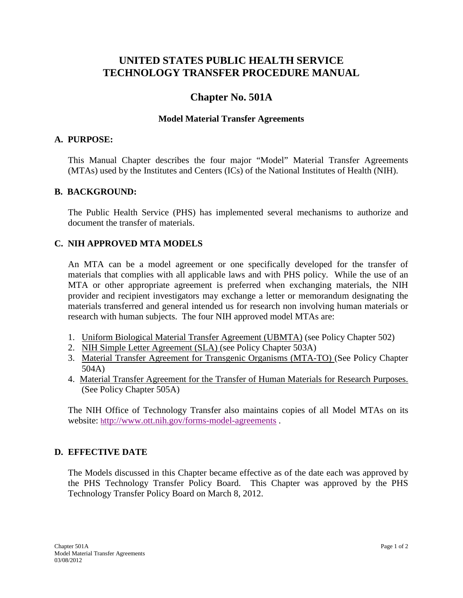# **UNITED STATES PUBLIC HEALTH SERVICE TECHNOLOGY TRANSFER PROCEDURE MANUAL**

# **Chapter No. 501A**

## **Model Material Transfer Agreements**

#### **A. PURPOSE:**

This Manual Chapter describes the four major "Model" Material Transfer Agreements (MTAs) used by the Institutes and Centers (ICs) of the National Institutes of Health (NIH).

#### **B. BACKGROUND:**

The Public Health Service (PHS) has implemented several mechanisms to authorize and document the transfer of materials.

## **C. NIH APPROVED MTA MODELS**

An MTA can be a model agreement or one specifically developed for the transfer of materials that complies with all applicable laws and with PHS policy. While the use of an MTA or other appropriate agreement is preferred when exchanging materials, the NIH provider and recipient investigators may exchange a letter or memorandum designating the materials transferred and general intended us for research non involving human materials or research with human subjects. The four NIH approved model MTAs are:

- 1. Uniform Biological Material Transfer Agreement (UBMTA) (see Policy Chapter 502)
- 2. NIH Simple Letter Agreement (SLA) (see Policy Chapter 503A)
- 3. Material Transfer Agreement for Transgenic Organisms (MTA-TO) (See Policy Chapter 504A)
- 4. Material Transfer Agreement for the Transfer of Human Materials for Research Purposes. (See Policy Chapter 505A)

The NIH Office of Technology Transfer also maintains copies of all Model MTAs on its website:<http://www.ott.nih.gov/forms-model-agreements> .

## **D. EFFECTIVE DATE**

The Models discussed in this Chapter became effective as of the date each was approved by the PHS Technology Transfer Policy Board. This Chapter was approved by the PHS Technology Transfer Policy Board on March 8, 2012.